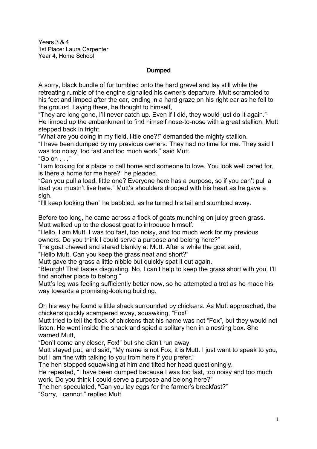Years 3 & 4 1st Place: Laura Carpenter Year 4, Home School

## **Dumped**

A sorry, black bundle of fur tumbled onto the hard gravel and lay still while the retreating rumble of the engine signalled his owner's departure. Mutt scrambled to his feet and limped after the car, ending in a hard graze on his right ear as he fell to the ground. Laying there, he thought to himself,

"They are long gone, I'll never catch up. Even if I did, they would just do it again." He limped up the embankment to find himself nose-to-nose with a great stallion. Mutt stepped back in fright.

"What are you doing in my field, little one?!" demanded the mighty stallion.

"I have been dumped by my previous owners. They had no time for me. They said I was too noisy, too fast and too much work," said Mutt.

"Go on . . ."

"I am looking for a place to call home and someone to love. You look well cared for, is there a home for me here?" he pleaded.

"Can you pull a load, little one? Everyone here has a purpose, so if you can't pull a load you mustn't live here." Mutt's shoulders drooped with his heart as he gave a sigh.

"I'll keep looking then" he babbled, as he turned his tail and stumbled away.

Before too long, he came across a flock of goats munching on juicy green grass. Mutt walked up to the closest goat to introduce himself.

"Hello, I am Mutt. I was too fast, too noisy, and too much work for my previous owners. Do you think I could serve a purpose and belong here?"

The goat chewed and stared blankly at Mutt. After a while the goat said,

"Hello Mutt. Can you keep the grass neat and short?"

Mutt gave the grass a little nibble but quickly spat it out again.

"Bleurgh! That tastes disgusting. No, I can't help to keep the grass short with you. I'll find another place to belong."

Mutt's leg was feeling sufficiently better now, so he attempted a trot as he made his way towards a promising-looking building.

On his way he found a little shack surrounded by chickens. As Mutt approached, the chickens quickly scampered away, squawking, "Fox!"

Mutt tried to tell the flock of chickens that his name was not "Fox", but they would not listen. He went inside the shack and spied a solitary hen in a nesting box. She warned Mutt,

"Don't come any closer, Fox!" but she didn't run away.

Mutt stayed put, and said, "My name is not Fox, it is Mutt. I just want to speak to you, but I am fine with talking to you from here if you prefer."

The hen stopped squawking at him and tilted her head questioningly.

He repeated, "I have been dumped because I was too fast, too noisy and too much work. Do you think I could serve a purpose and belong here?"

The hen speculated, "Can you lay eggs for the farmer's breakfast?"

"Sorry, I cannot," replied Mutt.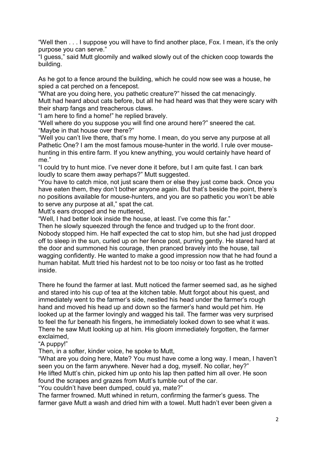"Well then . . . I suppose you will have to find another place, Fox. I mean, it's the only purpose you can serve."

"I guess," said Mutt gloomily and walked slowly out of the chicken coop towards the building.

As he got to a fence around the building, which he could now see was a house, he spied a cat perched on a fencepost.

"What are you doing here, you pathetic creature?" hissed the cat menacingly. Mutt had heard about cats before, but all he had heard was that they were scary with their sharp fangs and treacherous claws.

"I am here to find a home!" he replied bravely.

"Well where do you suppose you will find one around here?" sneered the cat. "Maybe in that house over there?"

"Well you can't live there, that's my home. I mean, do you serve any purpose at all Pathetic One? I am the most famous mouse-hunter in the world. I rule over mousehunting in this entire farm. If you knew anything, you would certainly have heard of me."

"I could try to hunt mice. I've never done it before, but I am quite fast. I can bark loudly to scare them away perhaps?" Mutt suggested.

"You have to catch mice, not just scare them or else they just come back. Once you have eaten them, they don't bother anyone again. But that's beside the point, there's no positions available for mouse-hunters, and you are so pathetic you won't be able to serve any purpose at all," spat the cat.

Mutt's ears drooped and he muttered,

"Well, I had better look inside the house, at least. I've come this far."

Then he slowly squeezed through the fence and trudged up to the front door. Nobody stopped him. He half expected the cat to stop him, but she had just dropped off to sleep in the sun, curled up on her fence post, purring gently. He stared hard at the door and summoned his courage, then pranced bravely into the house, tail wagging confidently. He wanted to make a good impression now that he had found a human habitat. Mutt tried his hardest not to be too noisy or too fast as he trotted inside.

There he found the farmer at last. Mutt noticed the farmer seemed sad, as he sighed and stared into his cup of tea at the kitchen table. Mutt forgot about his quest, and immediately went to the farmer's side, nestled his head under the farmer's rough hand and moved his head up and down so the farmer's hand would pet him. He looked up at the farmer lovingly and wagged his tail. The farmer was very surprised to feel the fur beneath his fingers, he immediately looked down to see what it was. There he saw Mutt looking up at him. His gloom immediately forgotten, the farmer exclaimed,

"A puppy!"

Then, in a softer, kinder voice, he spoke to Mutt,

"What are you doing here, Mate? You must have come a long way. I mean, I haven't seen you on the farm anywhere. Never had a dog, myself. No collar, hey?" He lifted Mutt's chin, picked him up onto his lap then patted him all over. He soon found the scrapes and grazes from Mutt's tumble out of the car.

"You couldn't have been dumped, could ya, mate?"

The farmer frowned. Mutt whined in return, confirming the farmer's guess. The farmer gave Mutt a wash and dried him with a towel. Mutt hadn't ever been given a